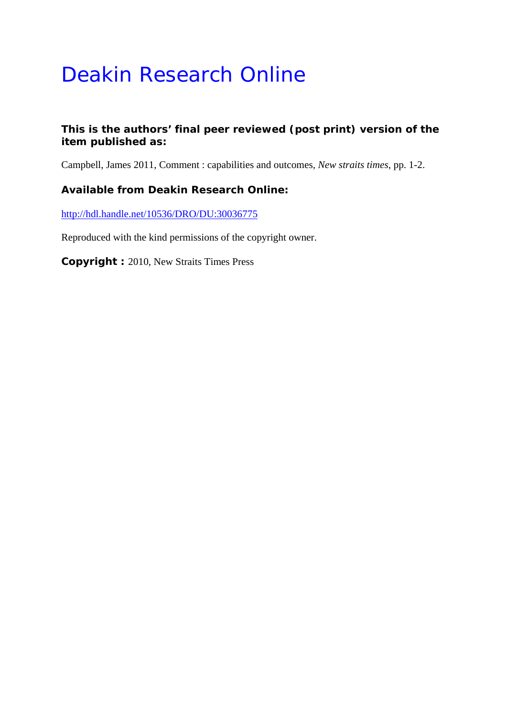## Deakin Research Online

## **This is the authors' final peer reviewed (post print) version of the item published as:**

Campbell, James 2011, Comment : capabilities and outcomes*, New straits times*, pp. 1-2.

## **Available from Deakin Research Online:**

http://hdl.handle.net/10536/DRO/DU:30036775

Reproduced with the kind permissions of the copyright owner.

**Copyright :** 2010, New Straits Times Press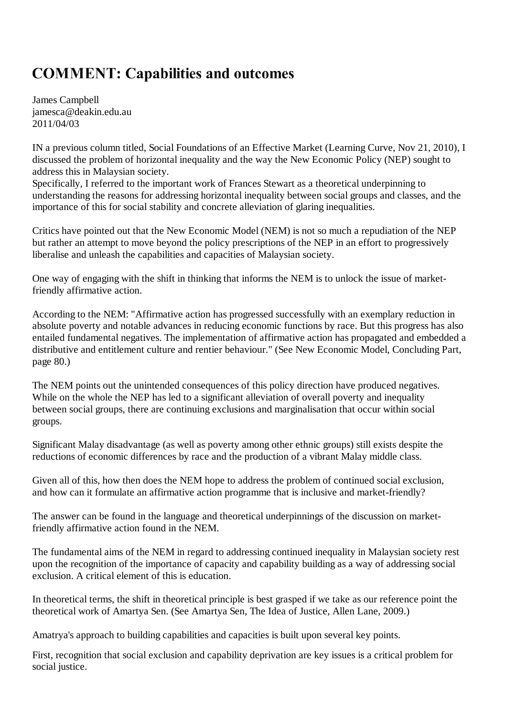## **COMMENT: Capabilities and outcomes**

James Campbell jamesca@deakin.edu.au 2011/04/03

IN a previous column titled, Social Foundations of an Effective Market (Learning Curve, Nov 21, 2010), I discussed the problem of horizontal inequality and the way the New Economic Policy (NEP) sought to address this in Malaysian society.

Specifically, I referred to the important work of Frances Stewart as a theoretical underpinning to understanding the reasons for addressing horizontal inequality between social groups and classes, and the importance of this for social stability and concrete alleviation of glaring inequalities.

Critics have pointed out that the New Economic Model (NEM) is not so much a repudiation of the NEP but rather an attempt to move beyond the policy prescriptions of the NEP in an effort to progressively liberalise and unleash the capabilities and capacities of Malaysian society.

One way of engaging with the shift in thinking that informs the NEM is to unlock the issue of marketfriendly affirmative action.

According to the NEM: "Affirmative action has progressed successfully with an exemplary reduction in absolute poverty and notable advances in reducing economic functions by race. But this progress has also entailed fundamental negatives. The implementation of affirmative action has propagated and embedded a distributive and entitlement culture and rentier behaviour." (See New Economic Model, Concluding Part, page 80.)

The NEM points out the unintended consequences of this policy direction have produced negatives. While on the whole the NEP has led to a significant alleviation of overall poverty and inequality between social groups, there are continuing exclusions and marginalisation that occur within social groups.

Significant Malay disadvantage (as well as poverty among other ethnic groups) still exists despite the reductions of economic differences by race and the production of a vibrant Malay middle class.

Given all of this, how then does the NEM hope to address the problem of continued social exclusion, and how can it formulate an affirmative action programme that is inclusive and market-friendly?

The answer can be found in the language and theoretical underpinnings of the discussion on marketfriendly affirmative action found in the NEM.

The fundamental aims of the NEM in regard to addressing continued inequality in Malaysian society rest upon the recognition of the importance of capacity and capability building as a way of addressing social exclusion. A critical element of this is education.

In theoretical terms, the shift in theoretical principle is best grasped if we take as our reference point the theoretical work of Amartya Sen. (See Amartya Sen, The Idea of Justice, Allen Lane, 2009.)

Amatrya's approach to building capabilities and capacities is built upon several key points.

First, recognition that social exclusion and capability deprivation are key issues is a critical problem for social justice.